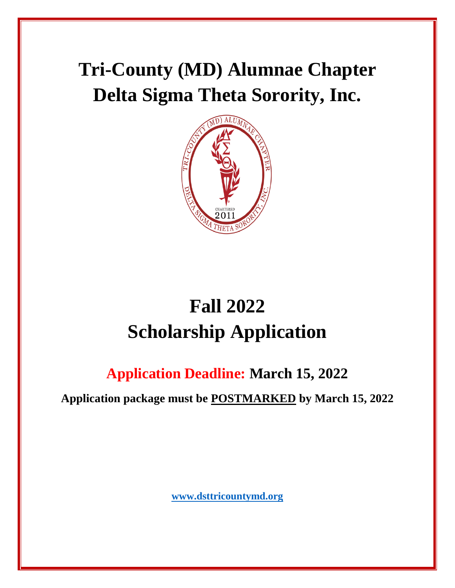# **Tri-County (MD) Alumnae Chapter Delta Sigma Theta Sorority, Inc.**



# **Fall 2022 Scholarship Application**

# **Application Deadline: March 15, 2022**

**Application package must be POSTMARKED by March 15, 2022**

**[www.dsttricountymd.org](about:blank)**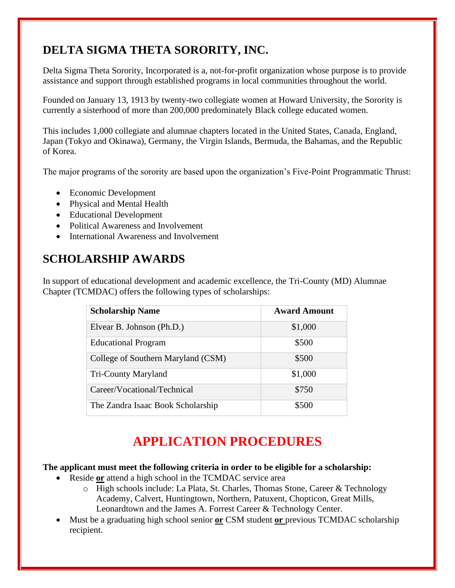## **DELTA SIGMA THETA SORORITY, INC.**

Delta Sigma Theta Sorority, Incorporated is a, not-for-profit organization whose purpose is to provide assistance and support through established programs in local communities throughout the world.

Founded on January 13, 1913 by twenty-two collegiate women at Howard University, the Sorority is currently a sisterhood of more than 200,000 predominately Black college educated women.

This includes 1,000 collegiate and alumnae chapters located in the United States, Canada, England, Japan (Tokyo and Okinawa), Germany, the Virgin Islands, Bermuda, the Bahamas, and the Republic of Korea.

The major programs of the sorority are based upon the organization's Five-Point Programmatic Thrust:

- Economic Development
- Physical and Mental Health
- Educational Development
- Political Awareness and Involvement
- International Awareness and Involvement

### **SCHOLARSHIP AWARDS**

In support of educational development and academic excellence, the Tri-County (MD) Alumnae Chapter (TCMDAC) offers the following types of scholarships:

| <b>Scholarship Name</b>            | <b>Award Amount</b> |
|------------------------------------|---------------------|
| Elvear B. Johnson (Ph.D.)          | \$1,000             |
| <b>Educational Program</b>         | \$500               |
| College of Southern Maryland (CSM) | \$500               |
| <b>Tri-County Maryland</b>         | \$1,000             |
| Career/Vocational/Technical        | \$750               |
| The Zandra Isaac Book Scholarship  | \$500               |

# **APPLICATION PROCEDURES**

#### **The applicant must meet the following criteria in order to be eligible for a scholarship:**

- Reside **or** attend a high school in the TCMDAC service area
	- o High schools include: La Plata, St. Charles, Thomas Stone, Career & Technology Academy, Calvert, Huntingtown, Northern, Patuxent, Chopticon, Great Mills, Leonardtown and the James A. Forrest Career & Technology Center.
- Must be a graduating high school senior **or** CSM student **or** previous TCMDAC scholarship recipient.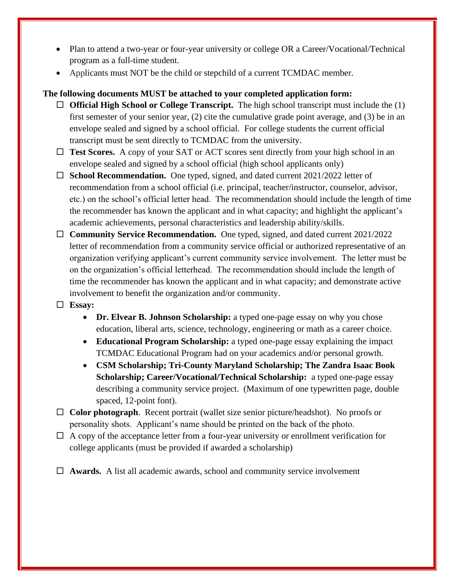- Plan to attend a two-year or four-year university or college OR a Career/Vocational/Technical program as a full-time student.
- Applicants must NOT be the child or stepchild of a current TCMDAC member.

#### **The following documents MUST be attached to your completed application form:**

- **Official High School or College Transcript.** The high school transcript must include the (1) first semester of your senior year, (2) cite the cumulative grade point average, and (3) be in an envelope sealed and signed by a school official. For college students the current official transcript must be sent directly to TCMDAC from the university.
- □ Test Scores. A copy of your SAT or ACT scores sent directly from your high school in an envelope sealed and signed by a school official (high school applicants only)
- □ **School Recommendation.** One typed, signed, and dated current 2021/2022 letter of recommendation from a school official (i.e. principal, teacher/instructor, counselor, advisor, etc.) on the school's official letter head. The recommendation should include the length of time the recommender has known the applicant and in what capacity; and highlight the applicant's academic achievements, personal characteristics and leadership ability/skills.
- **Community Service Recommendation.** One typed, signed, and dated current 2021/2022 letter of recommendation from a community service official or authorized representative of an organization verifying applicant's current community service involvement. The letter must be on the organization's official letterhead. The recommendation should include the length of time the recommender has known the applicant and in what capacity; and demonstrate active involvement to benefit the organization and/or community.
- **Essay:**
	- **Dr. Elvear B. Johnson Scholarship:** a typed one-page essay on why you chose education, liberal arts, science, technology, engineering or math as a career choice.
	- **Educational Program Scholarship:** a typed one-page essay explaining the impact TCMDAC Educational Program had on your academics and/or personal growth.
	- **CSM Scholarship; Tri-County Maryland Scholarship; The Zandra Isaac Book Scholarship; Career/Vocational/Technical Scholarship:** a typed one-page essay describing a community service project. (Maximum of one typewritten page, double spaced, 12-point font).
- **Color photograph**. Recent portrait (wallet size senior picture/headshot). No proofs or personality shots. Applicant's name should be printed on the back of the photo.
- $\Box$  A copy of the acceptance letter from a four-year university or enrollment verification for college applicants (must be provided if awarded a scholarship)
- **Awards.** A list all academic awards, school and community service involvement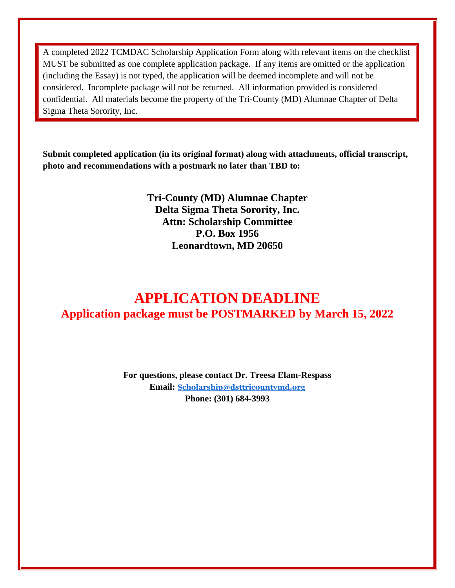A completed 2022 TCMDAC Scholarship Application Form along with relevant items on the checklist MUST be submitted as one complete application package. If any items are omitted or the application (including the Essay) is not typed, the application will be deemed incomplete and will not be considered. Incomplete package will not be returned. All information provided is considered confidential. All materials become the property of the Tri-County (MD) Alumnae Chapter of Delta Sigma Theta Sorority, Inc.

**Submit completed application (in its original format) along with attachments, official transcript, photo and recommendations with a postmark no later than TBD to:**

> **Tri-County (MD) Alumnae Chapter Delta Sigma Theta Sorority, Inc. Attn: Scholarship Committee P.O. Box 1956 Leonardtown, MD 20650**

## **APPLICATION DEADLINE Application package must be POSTMARKED by March 15, 2022**

**For questions, please contact Dr. Treesa Elam-Respass Email: [Scholarship@dsttricountymd.org](about:blank) Phone: (301) 684-3993**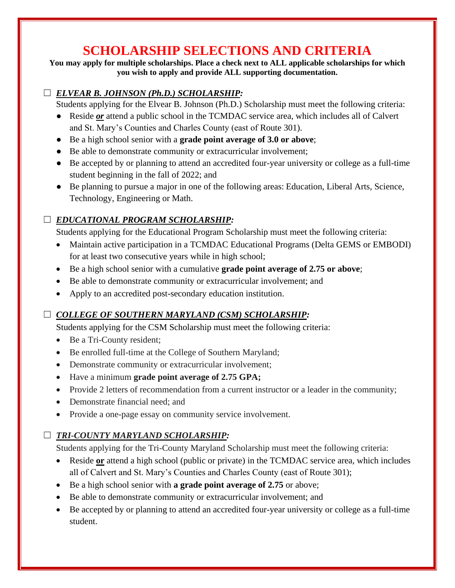## **SCHOLARSHIP SELECTIONS AND CRITERIA**

**You may apply for multiple scholarships. Place a check next to ALL applicable scholarships for which you wish to apply and provide ALL supporting documentation.**

#### ☐ *ELVEAR B. JOHNSON (Ph.D.) SCHOLARSHIP:*

Students applying for the Elvear B. Johnson (Ph.D.) Scholarship must meet the following criteria:

- Reside *or* attend a public school in the TCMDAC service area, which includes all of Calvert and St. Mary's Counties and Charles County (east of Route 301).
- Be a high school senior with a **grade point average of 3.0 or above**;
- Be able to demonstrate community or extracurricular involvement;
- Be accepted by or planning to attend an accredited four-year university or college as a full-time student beginning in the fall of 2022; and
- Be planning to pursue a major in one of the following areas: Education, Liberal Arts, Science, Technology, Engineering or Math.

#### ☐ *EDUCATIONAL PROGRAM SCHOLARSHIP:*

Students applying for the Educational Program Scholarship must meet the following criteria:

- Maintain active participation in a TCMDAC Educational Programs (Delta GEMS or EMBODI) for at least two consecutive years while in high school;
- Be a high school senior with a cumulative **grade point average of 2.75 or above**;
- Be able to demonstrate community or extracurricular involvement; and
- Apply to an accredited post-secondary education institution.

#### ☐ *COLLEGE OF SOUTHERN MARYLAND (CSM) SCHOLARSHIP:*

Students applying for the CSM Scholarship must meet the following criteria:

- Be a Tri-County resident;
- Be enrolled full-time at the College of Southern Maryland;
- Demonstrate community or extracurricular involvement;
- Have a minimum **grade point average of 2.75 GPA;**
- Provide 2 letters of recommendation from a current instructor or a leader in the community;
- Demonstrate financial need: and
- Provide a one-page essay on community service involvement.

#### ☐ *TRI-COUNTY MARYLAND SCHOLARSHIP:*

Students applying for the Tri-County Maryland Scholarship must meet the following criteria:

- Reside **or** attend a high school (public or private) in the TCMDAC service area, which includes all of Calvert and St. Mary's Counties and Charles County (east of Route 301);
- Be a high school senior with **a grade point average of 2.75** or above;
- Be able to demonstrate community or extracurricular involvement; and
- Be accepted by or planning to attend an accredited four-year university or college as a full-time student.